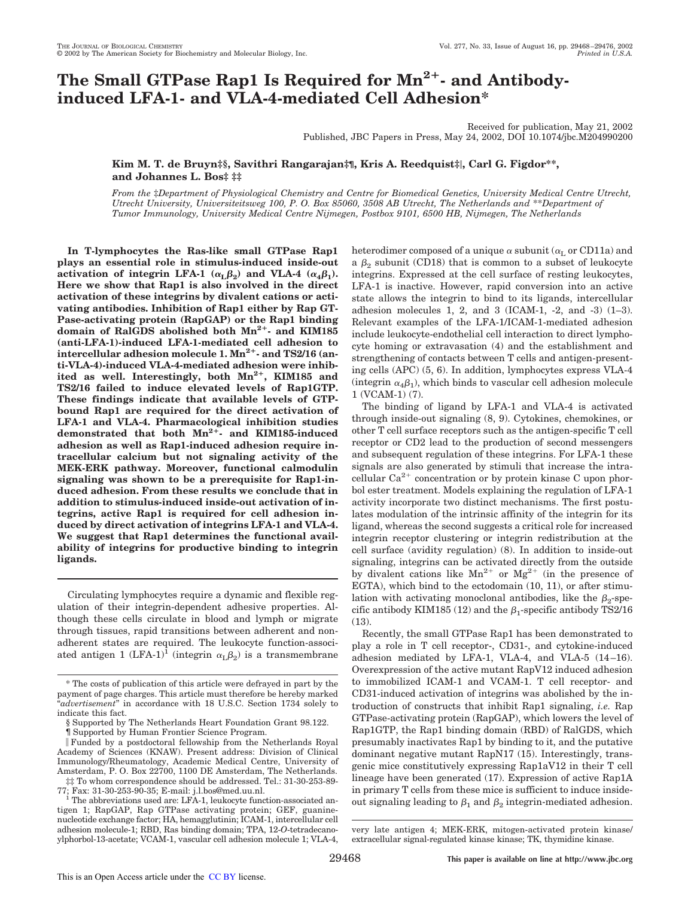# **The Small GTPase Rap1 Is Required for Mn2- and Antibodyinduced LFA-1- and VLA-4-mediated Cell Adhesion\***

Received for publication, May 21, 2002 Published, JBC Papers in Press, May 24, 2002, DOI 10.1074/jbc.M204990200

**Kim M. T. de Bruyn‡§, Savithri Rangarajan‡¶, Kris A. Reedquist‡, Carl G. Figdor\*\*, and Johannes L. Bos‡ ‡‡**

*From the* ‡*Department of Physiological Chemistry and Centre for Biomedical Genetics, University Medical Centre Utrecht, Utrecht University, Universiteitsweg 100, P. O. Box 85060, 3508 AB Utrecht, The Netherlands and* \*\**Department of Tumor Immunology, University Medical Centre Nijmegen, Postbox 9101, 6500 HB, Nijmegen, The Netherlands*

**In T-lymphocytes the Ras-like small GTPase Rap1 plays an essential role in stimulus-induced inside-out activation of integrin LFA-1** ( $\alpha_{\text{L}}\beta_{2}$ ) and VLA-4 ( $\alpha_{4}\beta_{1}$ ). **Here we show that Rap1 is also involved in the direct activation of these integrins by divalent cations or activating antibodies. Inhibition of Rap1 either by Rap GT-Pase-activating protein (RapGAP) or the Rap1 binding domain of RalGDS abolished both Mn2- and KIM185 (anti-LFA-1)-induced LFA-1-mediated cell adhesion to** intercellular adhesion molecule 1.  $Mn^{2+}$ - and TS2/16 (an**ti-VLA-4)-induced VLA-4-mediated adhesion were inhibited as well. Interestingly, both Mn2, KIM185 and TS2/16 failed to induce elevated levels of Rap1GTP. These findings indicate that available levels of GTPbound Rap1 are required for the direct activation of LFA-1 and VLA-4. Pharmacological inhibition studies** demonstrated that both  $Mn^{2+}$  and KIM185-induced **adhesion as well as Rap1-induced adhesion require intracellular calcium but not signaling activity of the MEK-ERK pathway. Moreover, functional calmodulin signaling was shown to be a prerequisite for Rap1-induced adhesion. From these results we conclude that in addition to stimulus-induced inside-out activation of integrins, active Rap1 is required for cell adhesion induced by direct activation of integrins LFA-1 and VLA-4. We suggest that Rap1 determines the functional availability of integrins for productive binding to integrin ligands.**

Circulating lymphocytes require a dynamic and flexible regulation of their integrin-dependent adhesive properties. Although these cells circulate in blood and lymph or migrate through tissues, rapid transitions between adherent and nonadherent states are required. The leukocyte function-associated antigen 1  $(LFA-1)^{\overline{1}}$  (integrin  $\alpha_L\beta_2$ ) is a transmembrane

heterodimer composed of a unique  $\alpha$  subunit ( $\alpha_{\rm L}$  or CD11a) and a  $\beta_2$  subunit (CD18) that is common to a subset of leukocyte integrins. Expressed at the cell surface of resting leukocytes, LFA-1 is inactive. However, rapid conversion into an active state allows the integrin to bind to its ligands, intercellular adhesion molecules 1, 2, and 3 (ICAM-1, -2, and -3) (1–3). Relevant examples of the LFA-1/ICAM-1-mediated adhesion include leukocyte-endothelial cell interaction to direct lymphocyte homing or extravasation (4) and the establishment and strengthening of contacts between T cells and antigen-presenting cells (APC) (5, 6). In addition, lymphocytes express VLA-4  $($ integrin  $\alpha_4\beta_1$ ), which binds to vascular cell adhesion molecule 1 (VCAM-1) (7).

The binding of ligand by LFA-1 and VLA-4 is activated through inside-out signaling (8, 9). Cytokines, chemokines, or other T cell surface receptors such as the antigen-specific T cell receptor or CD2 lead to the production of second messengers and subsequent regulation of these integrins. For LFA-1 these signals are also generated by stimuli that increase the intracellular  $Ca^{2+}$  concentration or by protein kinase C upon phorbol ester treatment. Models explaining the regulation of LFA-1 activity incorporate two distinct mechanisms. The first postulates modulation of the intrinsic affinity of the integrin for its ligand, whereas the second suggests a critical role for increased integrin receptor clustering or integrin redistribution at the cell surface (avidity regulation) (8). In addition to inside-out signaling, integrins can be activated directly from the outside by divalent cations like  $Mn^{2+}$  or  $Mg^{2+}$  (in the presence of EGTA), which bind to the ectodomain (10, 11), or after stimulation with activating monoclonal antibodies, like the  $\beta_2$ -specific antibody KIM185 (12) and the  $\beta_1$ -specific antibody TS2/16 (13).

Recently, the small GTPase Rap1 has been demonstrated to play a role in T cell receptor-, CD31-, and cytokine-induced adhesion mediated by LFA-1, VLA-4, and VLA-5 (14–16). Overexpression of the active mutant RapV12 induced adhesion to immobilized ICAM-1 and VCAM-1. T cell receptor- and CD31-induced activation of integrins was abolished by the introduction of constructs that inhibit Rap1 signaling, *i.e.* Rap GTPase-activating protein (RapGAP), which lowers the level of Rap1GTP, the Rap1 binding domain (RBD) of RalGDS, which presumably inactivates Rap1 by binding to it, and the putative dominant negative mutant RapN17 (15). Interestingly, transgenic mice constitutively expressing Rap1aV12 in their T cell lineage have been generated (17). Expression of active Rap1A in primary T cells from these mice is sufficient to induce insideout signaling leading to  $\beta_1$  and  $\beta_2$  integrin-mediated adhesion.

<sup>\*</sup> The costs of publication of this article were defrayed in part by the payment of page charges. This article must therefore be hereby marked "*advertisement*" in accordance with 18 U.S.C. Section 1734 solely to indicate this fact.

<sup>§</sup> Supported by The Netherlands Heart Foundation Grant 98.122.

<sup>¶</sup> Supported by Human Frontier Science Program.

Funded by a postdoctoral fellowship from the Netherlands Royal Academy of Sciences (KNAW). Present address: Division of Clinical Immunology/Rheumatology, Academic Medical Centre, University of Amsterdam, P. O. Box 22700, 1100 DE Amsterdam, The Netherlands. ‡‡ To whom correspondence should be addressed. Tel.: 31-30-253-89-

<sup>77;</sup> Fax: 31-30-253-90-35; E-mail: j.l.bos@med.uu.nl.<br>
<sup>1</sup> The abbreviations used are: LFA-1, leukocyte function-associated antigen 1; RapGAP, Rap GTPase activating protein; GEF, guaninenucleotide exchange factor; HA, hemagglutinin; ICAM-1, intercellular cell adhesion molecule-1; RBD, Ras binding domain; TPA, 12-*O*-tetradecanoylphorbol-13-acetate; VCAM-1, vascular cell adhesion molecule 1; VLA-4,

very late antigen 4; MEK-ERK, mitogen-activated protein kinase/ extracellular signal-regulated kinase kinase; TK, thymidine kinase.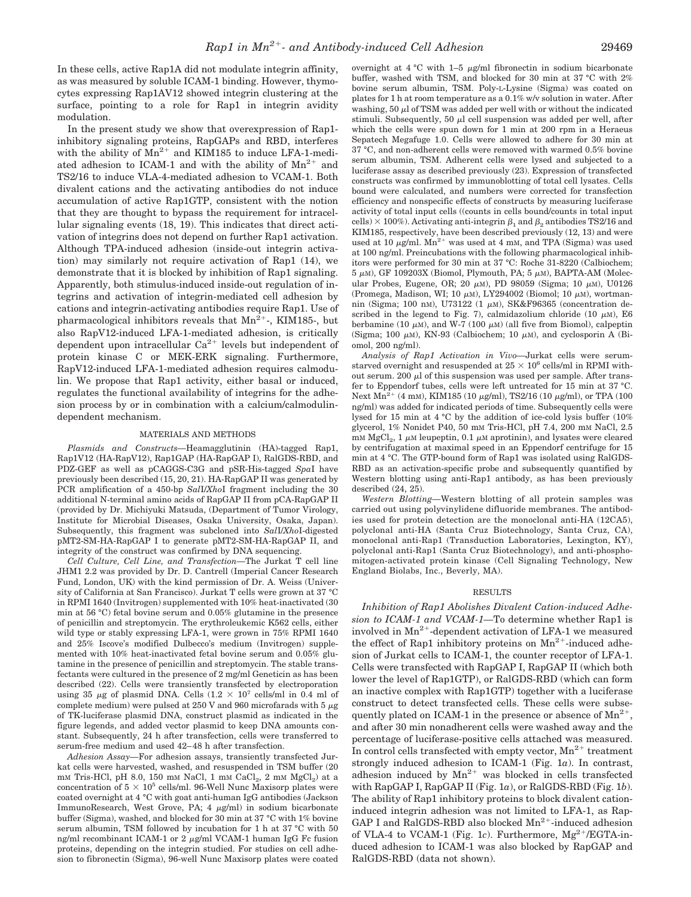In these cells, active Rap1A did not modulate integrin affinity, as was measured by soluble ICAM-1 binding. However, thymocytes expressing Rap1AV12 showed integrin clustering at the surface, pointing to a role for Rap1 in integrin avidity modulation.

In the present study we show that overexpression of Rap1 inhibitory signaling proteins, RapGAPs and RBD, interferes with the ability of  $Mn^{2+}$  and KIM185 to induce LFA-1-mediated adhesion to ICAM-1 and with the ability of  $Mn^{2+}$  and TS2/16 to induce VLA-4-mediated adhesion to VCAM-1. Both divalent cations and the activating antibodies do not induce accumulation of active Rap1GTP, consistent with the notion that they are thought to bypass the requirement for intracellular signaling events (18, 19). This indicates that direct activation of integrins does not depend on further Rap1 activation. Although TPA-induced adhesion (inside-out integrin activation) may similarly not require activation of Rap1 (14), we demonstrate that it is blocked by inhibition of Rap1 signaling. Apparently, both stimulus-induced inside-out regulation of integrins and activation of integrin-mediated cell adhesion by cations and integrin-activating antibodies require Rap1. Use of pharmacological inhibitors reveals that  $Mn^{2+}$ , KIM185-, but also RapV12-induced LFA-1-mediated adhesion, is critically dependent upon intracellular  $Ca^{2+}$  levels but independent of protein kinase C or MEK-ERK signaling. Furthermore, RapV12-induced LFA-1-mediated adhesion requires calmodulin. We propose that Rap1 activity, either basal or induced, regulates the functional availability of integrins for the adhesion process by or in combination with a calcium/calmodulindependent mechanism.

#### MATERIALS AND METHODS

*Plasmids and Constructs—*Heamagglutinin (HA)-tagged Rap1, Rap1V12 (HA-RapV12), Rap1GAP (HA-RapGAP I), RalGDS-RBD, and PDZ-GEF as well as pCAGGS-C3G and pSR-His-tagged *Spa*I have previously been described (15, 20, 21). HA-RapGAP II was generated by PCR amplification of a 450-bp *Sal*I/*Xho*I fragment including the 30 additional N-terminal amino acids of RapGAP II from pCA-RapGAP II (provided by Dr. Michiyuki Matsuda, (Department of Tumor Virology, Institute for Microbial Diseases, Osaka University, Osaka, Japan). Subsequently, this fragment was subcloned into *Sal*I/*Xho*I-digested pMT2-SM-HA-RapGAP I to generate pMT2-SM-HA-RapGAP II, and integrity of the construct was confirmed by DNA sequencing.

*Cell Culture, Cell Line, and Transfection—*The Jurkat T cell line JHM1 2.2 was provided by Dr. D. Cantrell (Imperial Cancer Research Fund, London, UK) with the kind permission of Dr. A. Weiss (University of California at San Francisco). Jurkat T cells were grown at 37 °C in RPMI 1640 (Invitrogen) supplemented with 10% heat-inactivated (30 min at 56 °C) fetal bovine serum and 0.05% glutamine in the presence of penicillin and streptomycin. The erythroleukemic K562 cells, either wild type or stably expressing LFA-1, were grown in 75% RPMI 1640 and 25% Iscove's modified Dulbecco's medium (Invitrogen) supplemented with 10% heat-inactivated fetal bovine serum and 0.05% glutamine in the presence of penicillin and streptomycin. The stable transfectants were cultured in the presence of 2 mg/ml Geneticin as has been described (22). Cells were transiently transfected by electroporation using 35  $\mu$ g of plasmid DNA. Cells (1.2  $\times$  10<sup>7</sup> cells/ml in 0.4 ml of complete medium) were pulsed at 250 V and 960 microfarads with 5  $\mu{\rm g}$ of TK-luciferase plasmid DNA, construct plasmid as indicated in the figure legends, and added vector plasmid to keep DNA amounts constant. Subsequently, 24 h after transfection, cells were transferred to serum-free medium and used 42–48 h after transfection.

*Adhesion Assay—*For adhesion assays, transiently transfected Jurkat cells were harvested, washed, and resuspended in TSM buffer (20  $mm$  Tris-HCl, pH 8.0, 150 mM NaCl, 1 mM CaCl<sub>2</sub>, 2 mM MgCl<sub>2</sub>) at a concentration of  $5 \times 10^5$  cells/ml. 96-Well Nunc Maxisorp plates were coated overnight at 4 °C with goat anti-human IgG antibodies (Jackson ImmunoResearch, West Grove, PA; 4  $\mu$ g/ml) in sodium bicarbonate buffer (Sigma), washed, and blocked for 30 min at 37 °C with 1% bovine serum albumin, TSM followed by incubation for 1 h at 37 °C with 50 ng/ml recombinant ICAM-1 or 2  $\mu$ g/ml VCAM-1 human IgG Fc fusion proteins, depending on the integrin studied. For studies on cell adhesion to fibronectin (Sigma), 96-well Nunc Maxisorp plates were coated

overnight at  $4 °C$  with  $1-5 \mu g/ml$  fibronectin in sodium bicarbonate buffer, washed with TSM, and blocked for 30 min at 37 °C with 2% bovine serum albumin, TSM. Poly-L-Lysine (Sigma) was coated on plates for 1 h at room temperature as a 0.1% w/v solution in water. After washing, 50  $\mu$  of TSM was added per well with or without the indicated stimuli. Subsequently, 50  $\mu$ l cell suspension was added per well, after which the cells were spun down for 1 min at 200 rpm in a Heraeus Sepatech Megafuge 1.0. Cells were allowed to adhere for 30 min at 37 °C, and non-adherent cells were removed with warmed 0.5% bovine serum albumin, TSM. Adherent cells were lysed and subjected to a luciferase assay as described previously (23). Expression of transfected constructs was confirmed by immunoblotting of total cell lysates. Cells bound were calculated, and numbers were corrected for transfection efficiency and nonspecific effects of constructs by measuring luciferase activity of total input cells ((counts in cells bound/counts in total input cells)  $\times$  100%). Activating anti-integrin  $\beta_1$  and  $\beta_2$  antibodies TS2/16 and KIM185, respectively, have been described previously (12, 13) and were used at 10  $\mu$ g/ml. Mn<sup>2+</sup> was used at 4 mM, and TPA (Sigma) was used at 100 ng/ml. Preincubations with the following pharmacological inhibitors were performed for 30 min at 37 °C: Roche 31-8220 (Calbiochem;  $5 \mu$ M), GF 109203X (Biomol, Plymouth, PA;  $5 \mu$ M), BAPTA-AM (Molecular Probes, Eugene, OR; 20  $\mu$ M), PD 98059 (Sigma; 10  $\mu$ M), U0126 (Promega, Madison, WI; 10  $\mu$ M), LY294002 (Biomol; 10  $\mu$ M), wortmannin (Sigma; 100 nM), U73122 (1  $\mu$ M), SK&F96365 (concentration described in the legend to Fig. 7), calmidazolium chloride (10  $\mu$ M), E6 berbamine (10  $\mu$ M), and W-7 (100  $\mu$ M) (all five from Biomol), calpeptin (Sigma; 100  $\mu$ M), KN-93 (Calbiochem; 10  $\mu$ M), and cyclosporin A (Biomol, 200 ng/ml).

*Analysis of Rap1 Activation in Vivo—*Jurkat cells were serumstarved overnight and resuspended at  $25 \times 10^6$  cells/ml in RPMI without serum. 200  $\mu$ l of this suspension was used per sample. After transfer to Eppendorf tubes, cells were left untreated for 15 min at 37 °C. Next  $Mn^{2+}$  (4 mM), KIM185 (10  $\mu$ g/ml), TS2/16 (10  $\mu$ g/ml), or TPA (100 ng/ml) was added for indicated periods of time. Subsequently cells were lysed for 15 min at 4 °C by the addition of ice-cold lysis buffer (10% glycerol, 1% Nonidet P40, 50 mM Tris-HCl, pH 7.4, 200 mM NaCl, 2.5 mM  $MgCl<sub>2</sub>$ , 1  $\mu$ M leupeptin, 0.1  $\mu$ M aprotinin), and lysates were cleared by centrifugation at maximal speed in an Eppendorf centrifuge for 15 min at 4 °C. The GTP-bound form of Rap1 was isolated using RalGDS-RBD as an activation-specific probe and subsequently quantified by Western blotting using anti-Rap1 antibody, as has been previously described (24, 25).

*Western Blotting—*Western blotting of all protein samples was carried out using polyvinylidene difluoride membranes. The antibodies used for protein detection are the monoclonal anti-HA (12CA5), polyclonal anti-HA (Santa Cruz Biotechnology, Santa Cruz, CA), monoclonal anti-Rap1 (Transduction Laboratories, Lexington, KY), polyclonal anti-Rap1 (Santa Cruz Biotechnology), and anti-phosphomitogen-activated protein kinase (Cell Signaling Technology, New England Biolabs, Inc., Beverly, MA).

### RESULTS

*Inhibition of Rap1 Abolishes Divalent Cation-induced Adhesion to ICAM-1 and VCAM-1—*To determine whether Rap1 is involved in  $Mn^{2+}$ -dependent activation of LFA-1 we measured the effect of Rap1 inhibitory proteins on  $Mn^{2+}$ -induced adhesion of Jurkat cells to ICAM-1, the counter receptor of LFA-1. Cells were transfected with RapGAP I, RapGAP II (which both lower the level of Rap1GTP), or RalGDS-RBD (which can form an inactive complex with Rap1GTP) together with a luciferase construct to detect transfected cells. These cells were subsequently plated on ICAM-1 in the presence or absence of  $Mn^{2+}$ , and after 30 min nonadherent cells were washed away and the percentage of luciferase-positive cells attached was measured. In control cells transfected with empty vector,  $Mn^{2+}$  treatment strongly induced adhesion to ICAM-1 (Fig. 1*a*). In contrast, adhesion induced by  $Mn^{2+}$  was blocked in cells transfected with RapGAP I, RapGAP II (Fig. 1*a*), or RalGDS-RBD (Fig. 1*b*). The ability of Rap1 inhibitory proteins to block divalent cationinduced integrin adhesion was not limited to LFA-1, as Rap-GAP I and RalGDS-RBD also blocked  $Mn^{2+}$ -induced adhesion of VLA-4 to VCAM-1 (Fig. 1*c*). Furthermore,  $Mg^{2+}/EGTA-in$ duced adhesion to ICAM-1 was also blocked by RapGAP and RalGDS-RBD (data not shown).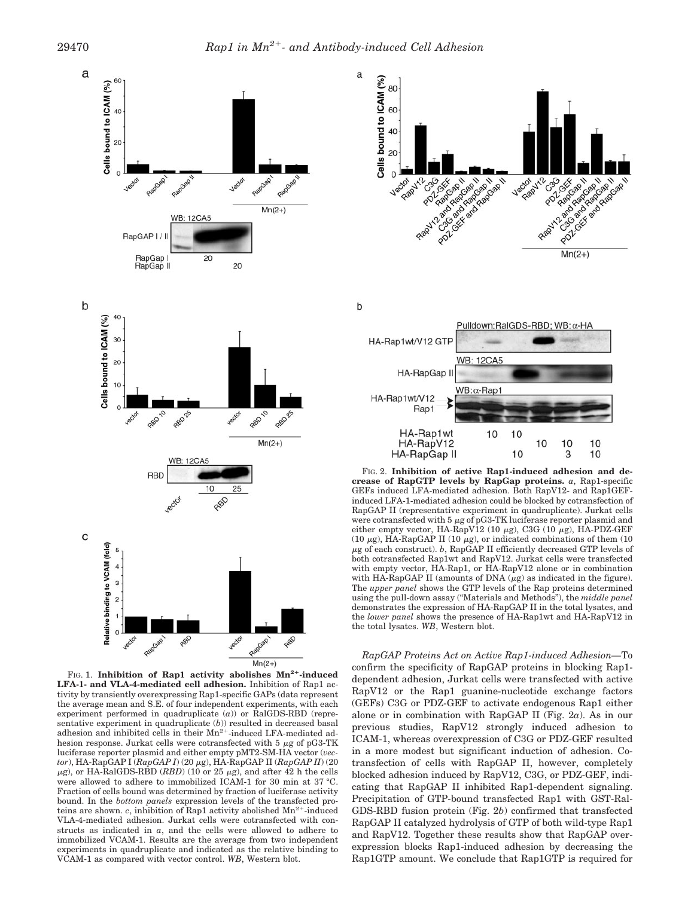

FIG. 1. Inhibition of Rap1 activity abolishes  $Mn^{2+}$ -induced **LFA-1- and VLA-4-mediated cell adhesion.** Inhibition of Rap1 activity by transiently overexpressing Rap1-specific GAPs (data represent the average mean and S.E. of four independent experiments, with each experiment performed in quadruplicate (*a*)) or RalGDS-RBD (representative experiment in quadruplicate (*b*)) resulted in decreased basal adhesion and inhibited cells in their  $Mn^{2+}$ -induced LFA-mediated adhesion response. Jurkat cells were cotransfected with 5  $\mu$ g of pG3-TK luciferase reporter plasmid and either empty pMT2-SM-HA vector (*vector*), ΗΑ-RapGAP I (*RapGAP I*) (20 μg), ΗΑ-RapGAP II (*RapGAP II*) (20  $\mu$ g), or HA-RalGDS-RBD (*RBD*) (10 or 25  $\mu$ g), and after 42 h the cells were allowed to adhere to immobilized ICAM-1 for 30 min at 37 °C. Fraction of cells bound was determined by fraction of luciferase activity bound. In the *bottom panels* expression levels of the transfected proteins are shown. *c*, inhibition of Rap1 activity abolished Mn<sup>2+</sup>-induced VLA-4-mediated adhesion. Jurkat cells were cotransfected with constructs as indicated in *a*, and the cells were allowed to adhere to immobilized VCAM-1. Results are the average from two independent experiments in quadruplicate and indicated as the relative binding to VCAM-1 as compared with vector control. *WB*, Western blot.



FIG. 2. **Inhibition of active Rap1-induced adhesion and decrease of RapGTP levels by RapGap proteins.** *a*, Rap1-specific GEFs induced LFA-mediated adhesion. Both RapV12- and Rap1GEFinduced LFA-1-mediated adhesion could be blocked by cotransfection of RapGAP II (representative experiment in quadruplicate). Jurkat cells were cotransfected with 5  $\mu$ g of pG3-TK luciferase reporter plasmid and either empty vector, HA-RapV12 (10  $\mu$ g), C3G (10  $\mu$ g), HA-PDZ-GEF (10  $\mu$ g), HA-RapGAP II (10  $\mu$ g), or indicated combinations of them (10  $\mu$ g of each construct).  $b$ , RapGAP II efficiently decreased GTP levels of both cotransfected Rap1wt and RapV12. Jurkat cells were transfected with empty vector, HA-Rap1, or HA-RapV12 alone or in combination with HA-RapGAP II (amounts of DNA  $(\mu \mathrm{g})$  as indicated in the figure). The *upper panel* shows the GTP levels of the Rap proteins determined using the pull-down assay ("Materials and Methods"), the *middle panel* demonstrates the expression of HA-RapGAP II in the total lysates, and the *lower panel* shows the presence of HA-Rap1wt and HA-RapV12 in the total lysates. *WB*, Western blot.

*RapGAP Proteins Act on Active Rap1-induced Adhesion—*To confirm the specificity of RapGAP proteins in blocking Rap1 dependent adhesion, Jurkat cells were transfected with active RapV12 or the Rap1 guanine-nucleotide exchange factors (GEFs) C3G or PDZ-GEF to activate endogenous Rap1 either alone or in combination with RapGAP II (Fig. 2*a*). As in our previous studies, RapV12 strongly induced adhesion to ICAM-1, whereas overexpression of C3G or PDZ-GEF resulted in a more modest but significant induction of adhesion. Cotransfection of cells with RapGAP II, however, completely blocked adhesion induced by RapV12, C3G, or PDZ-GEF, indicating that RapGAP II inhibited Rap1-dependent signaling. Precipitation of GTP-bound transfected Rap1 with GST-Ral-GDS-RBD fusion protein (Fig. 2*b*) confirmed that transfected RapGAP II catalyzed hydrolysis of GTP of both wild-type Rap1 and RapV12. Together these results show that RapGAP overexpression blocks Rap1-induced adhesion by decreasing the Rap1GTP amount. We conclude that Rap1GTP is required for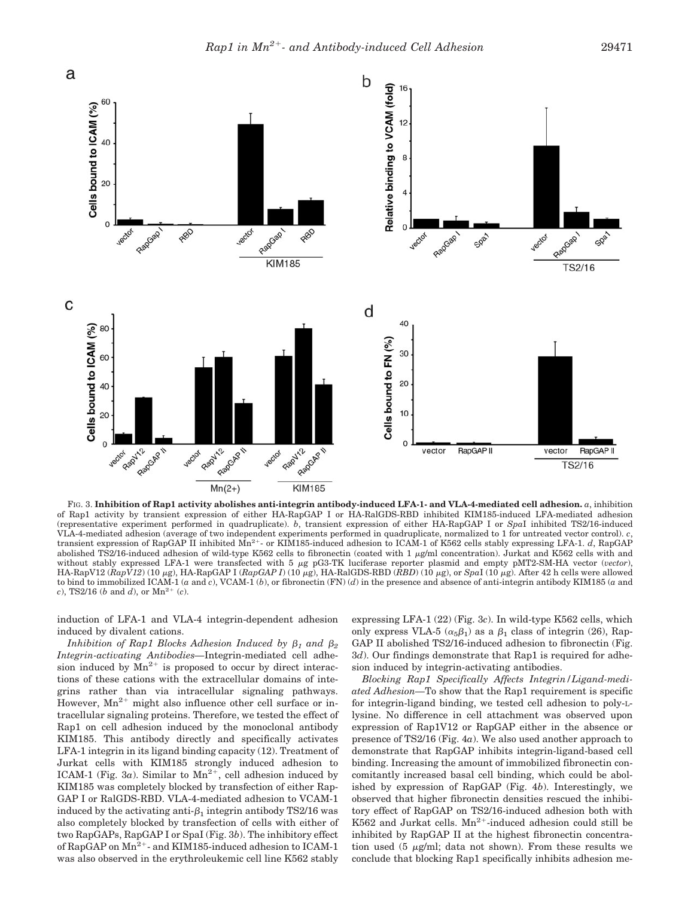

FIG. 3. **Inhibition of Rap1 activity abolishes anti-integrin antibody-induced LFA-1- and VLA-4-mediated cell adhesion.** *a*, inhibition of Rap1 activity by transient expression of either HA-RapGAP I or HA-RalGDS-RBD inhibited KIM185-induced LFA-mediated adhesion (representative experiment performed in quadruplicate). *b*, transient expression of either HA-RapGAP I or *Spa*I inhibited TS2/16-induced VLA-4-mediated adhesion (average of two independent experiments performed in quadruplicate, normalized to 1 for untreated vector control). c,<br>transient expression of RapGAP II inhibited Mn<sup>2+</sup>- or KIM185-induced adhesion t abolished TS2/16-induced adhesion of wild-type K562 cells to fibronectin (coated with 1  $\mu$ g/ml concentration). Jurkat and K562 cells with and without stably expressed LFA-1 were transfected with 5 µg pG3-TK luciferase reporter plasmid and empty pMT2-SM-HA vector (*vector*), HA-RapV12 ( $\overline{R}apV12$ ) (10  $\mu$ g), HA-RapGAP I ( $\overline{R}apGAP$  I) (10  $\mu$ g), HA-RalGDS-RBD ( $\overline{R}BD$ ) (10  $\mu$ g), or *SpaI* (10  $\mu$ g). After 42 h cells were allowed to bind to immobilized ICAM-1 (*a* and *c*), VCAM-1 (*b*), or fibronectin (FN) (*d*) in the presence and absence of anti-integrin antibody KIM185 (*a* and *c*), TS2/16 (*b* and *d*), or  $Mn^{2+}$  (*c*).

induction of LFA-1 and VLA-4 integrin-dependent adhesion induced by divalent cations.

 $Inhibition of Rap1 Blocks Adhesion Induced by  $\beta_1$  and  $\beta_2$$ *Integrin-activating Antibodies—*Integrin-mediated cell adhesion induced by  $Mn^{2+}$  is proposed to occur by direct interactions of these cations with the extracellular domains of integrins rather than via intracellular signaling pathways. However,  $Mn^{2+}$  might also influence other cell surface or intracellular signaling proteins. Therefore, we tested the effect of Rap1 on cell adhesion induced by the monoclonal antibody KIM185. This antibody directly and specifically activates LFA-1 integrin in its ligand binding capacity (12). Treatment of Jurkat cells with KIM185 strongly induced adhesion to ICAM-1 (Fig. 3*a*). Similar to  $Mn^{2+}$ , cell adhesion induced by KIM185 was completely blocked by transfection of either Rap-GAP I or RalGDS-RBD. VLA-4-mediated adhesion to VCAM-1 induced by the activating anti- $\beta_1$  integrin antibody TS2/16 was also completely blocked by transfection of cells with either of two RapGAPs, RapGAP I or SpaI (Fig. 3*b*). The inhibitory effect of RapGAP on  $Mn^2$ <sup>+</sup>- and KIM185-induced adhesion to ICAM-1 was also observed in the erythroleukemic cell line K562 stably

expressing LFA-1 (22) (Fig. 3*c*). In wild-type K562 cells, which only express VLA-5  $(\alpha_5\beta_1)$  as a  $\beta_1$  class of integrin (26), Rap-GAP II abolished TS2/16-induced adhesion to fibronectin (Fig. 3*d*). Our findings demonstrate that Rap1 is required for adhesion induced by integrin-activating antibodies.

*Blocking Rap1 Specifically Affects Integrin/Ligand-mediated Adhesion—*To show that the Rap1 requirement is specific for integrin-ligand binding, we tested cell adhesion to poly-Llysine. No difference in cell attachment was observed upon expression of Rap1V12 or RapGAP either in the absence or presence of TS2/16 (Fig. 4*a*). We also used another approach to demonstrate that RapGAP inhibits integrin-ligand-based cell binding. Increasing the amount of immobilized fibronectin concomitantly increased basal cell binding, which could be abolished by expression of RapGAP (Fig. 4*b*). Interestingly, we observed that higher fibronectin densities rescued the inhibitory effect of RapGAP on TS2/16-induced adhesion both with K562 and Jurkat cells.  $Mn^{2+}$ -induced adhesion could still be inhibited by RapGAP II at the highest fibronectin concentration used  $(5 \mu\varrho/m)!$ ; data not shown). From these results we conclude that blocking Rap1 specifically inhibits adhesion me-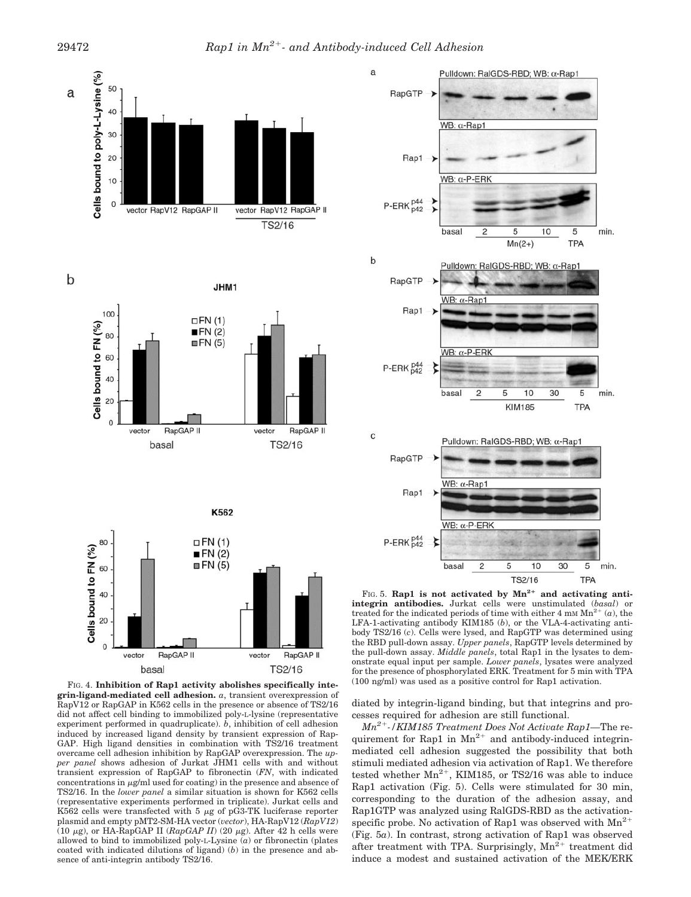

FIG. 4. **Inhibition of Rap1 activity abolishes specifically integrin-ligand-mediated cell adhesion.** *a*, transient overexpression of RapV12 or RapGAP in K562 cells in the presence or absence of TS2/16 did not affect cell binding to immobilized poly-L-lysine (representative experiment performed in quadruplicate). *b*, inhibition of cell adhesion induced by increased ligand density by transient expression of Rap-GAP. High ligand densities in combination with TS2/16 treatment overcame cell adhesion inhibition by RapGAP overexpression. The *upper panel* shows adhesion of Jurkat JHM1 cells with and without transient expression of RapGAP to fibronectin (*FN*, with indicated concentrations in  $\mu$ g/ml used for coating) in the presence and absence of TS2/16. In the *lower panel* a similar situation is shown for K562 cells (representative experiments performed in triplicate). Jurkat cells and K562 cells were transfected with 5  $\mu$ g of pG3-TK luciferase reporter plasmid and empty pMT2-SM-HA vector (*vector*), HA-RapV12 (*RapV12*) (10  $\mu$ g), or HA-RapGAP II (*RapGAP II*) (20  $\mu$ g). After 42 h cells were allowed to bind to immobilized poly-L-Lysine (*a*) or fibronectin (plates coated with indicated dilutions of ligand) (*b*) in the presence and absence of anti-integrin antibody TS2/16.

basal

TS2/16



FIG. 5. **Rap1** is not activated by  $Mn^{2+}$  and activating anti**integrin antibodies.** Jurkat cells were unstimulated (*basal*) or treated for the indicated periods of time with either 4 mm  $Mn^{2+}$  (*a*), the LFA-1-activating antibody KIM185 (*b*), or the VLA-4-activating antibody TS2/16 (*c*). Cells were lysed, and RapGTP was determined using the RBD pull-down assay. *Upper panels*, RapGTP levels determined by the pull-down assay. *Middle panels*, total Rap1 in the lysates to demonstrate equal input per sample. *Lower panels*, lysates were analyzed for the presence of phosphorylated ERK. Treatment for 5 min with TPA (100 ng/ml) was used as a positive control for Rap1 activation.

diated by integrin-ligand binding, but that integrins and processes required for adhesion are still functional.

*Mn2-/KIM185 Treatment Does Not Activate Rap1—*The requirement for Rap1 in  $Mn^{2+}$  and antibody-induced integrinmediated cell adhesion suggested the possibility that both stimuli mediated adhesion via activation of Rap1. We therefore tested whether  $Mn^{2+}$ , KIM185, or TS2/16 was able to induce Rap1 activation (Fig. 5). Cells were stimulated for 30 min, corresponding to the duration of the adhesion assay, and Rap1GTP was analyzed using RalGDS-RBD as the activationspecific probe. No activation of Rap1 was observed with  $Mn^{2+}$ (Fig. 5*a*). In contrast, strong activation of Rap1 was observed after treatment with TPA. Surprisingly,  $Mn^{2+}$  treatment did induce a modest and sustained activation of the MEK/ERK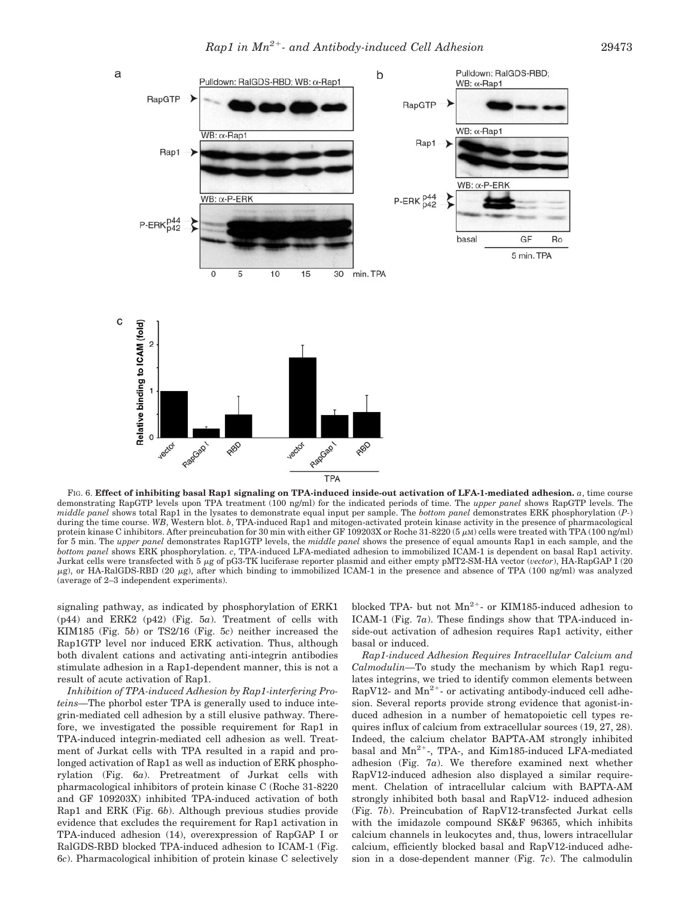

FIG. 6. **Effect of inhibiting basal Rap1 signaling on TPA-induced inside-out activation of LFA-1-mediated adhesion.** *a*, time course demonstrating RapGTP levels upon TPA treatment (100 ng/ml) for the indicated periods of time. The *upper panel* shows RapGTP levels. The *middle panel* shows total Rap1 in the lysates to demonstrate equal input per sample. The *bottom panel* demonstrates ERK phosphorylation (*P-*) during the time course. WB, Western blot. *b*, TPA-induced Rap1 and mitogen-activated protein kinase activity in the presence of pharmacological protein kinase C inhibitors. After preincubation for 30 min with either GF 109203X or Roche 31-8220 (5  $\mu$ M) cells were treated with TPA (100 ng/ml) for 5 min. The *upper panel* demonstrates Rap1GTP levels, the *middle panel* shows the presence of equal amounts Rap1 in each sample, and the *bottom panel* shows ERK phosphorylation. *c*, TPA-induced LFA-mediated adhesion to immobilized ICAM-1 is dependent on basal Rap1 activity. Jurkat cells were transfected with 5 µg of pG3-TK luciferase reporter plasmid and either empty pMT2-SM-HA vector (vector), HA-RapGAP I (20  $\mu$ g), or HA-RalGDS-RBD (20  $\mu$ g), after which binding to immobilized ICAM-1 in the presence and absence of TPA (100 ng/ml) was analyzed (average of 2–3 independent experiments).

signaling pathway, as indicated by phosphorylation of ERK1 (p44) and ERK2 (p42) (Fig. 5*a*). Treatment of cells with KIM185 (Fig. 5*b*) or TS2/16 (Fig. 5*c*) neither increased the Rap1GTP level nor induced ERK activation. Thus, although both divalent cations and activating anti-integrin antibodies stimulate adhesion in a Rap1-dependent manner, this is not a result of acute activation of Rap1.

*Inhibition of TPA-induced Adhesion by Rap1-interfering Proteins—*The phorbol ester TPA is generally used to induce integrin-mediated cell adhesion by a still elusive pathway. Therefore, we investigated the possible requirement for Rap1 in TPA-induced integrin-mediated cell adhesion as well. Treatment of Jurkat cells with TPA resulted in a rapid and prolonged activation of Rap1 as well as induction of ERK phosphorylation (Fig. 6*a*). Pretreatment of Jurkat cells with pharmacological inhibitors of protein kinase C (Roche 31-8220 and GF 109203X) inhibited TPA-induced activation of both Rap1 and ERK (Fig. 6*b*). Although previous studies provide evidence that excludes the requirement for Rap1 activation in TPA-induced adhesion (14), overexpression of RapGAP I or RalGDS-RBD blocked TPA-induced adhesion to ICAM-1 (Fig. 6*c*). Pharmacological inhibition of protein kinase C selectively blocked TPA- but not  $Mn^{2+}$ - or KIM185-induced adhesion to ICAM-1 (Fig. 7*a*). These findings show that TPA-induced inside-out activation of adhesion requires Rap1 activity, either basal or induced.

*Rap1-induced Adhesion Requires Intracellular Calcium and Calmodulin—*To study the mechanism by which Rap1 regulates integrins, we tried to identify common elements between RapV12- and  $Mn^{2+}$ - or activating antibody-induced cell adhesion. Several reports provide strong evidence that agonist-induced adhesion in a number of hematopoietic cell types requires influx of calcium from extracellular sources (19, 27, 28). Indeed, the calcium chelator BAPTA-AM strongly inhibited basal and  $Mn^{2+}$ -, TPA-, and Kim185-induced LFA-mediated adhesion (Fig. 7*a*). We therefore examined next whether RapV12-induced adhesion also displayed a similar requirement. Chelation of intracellular calcium with BAPTA-AM strongly inhibited both basal and RapV12- induced adhesion (Fig. 7*b*). Preincubation of RapV12-transfected Jurkat cells with the imidazole compound SK&F 96365, which inhibits calcium channels in leukocytes and, thus, lowers intracellular calcium, efficiently blocked basal and RapV12-induced adhesion in a dose-dependent manner (Fig. 7*c*). The calmodulin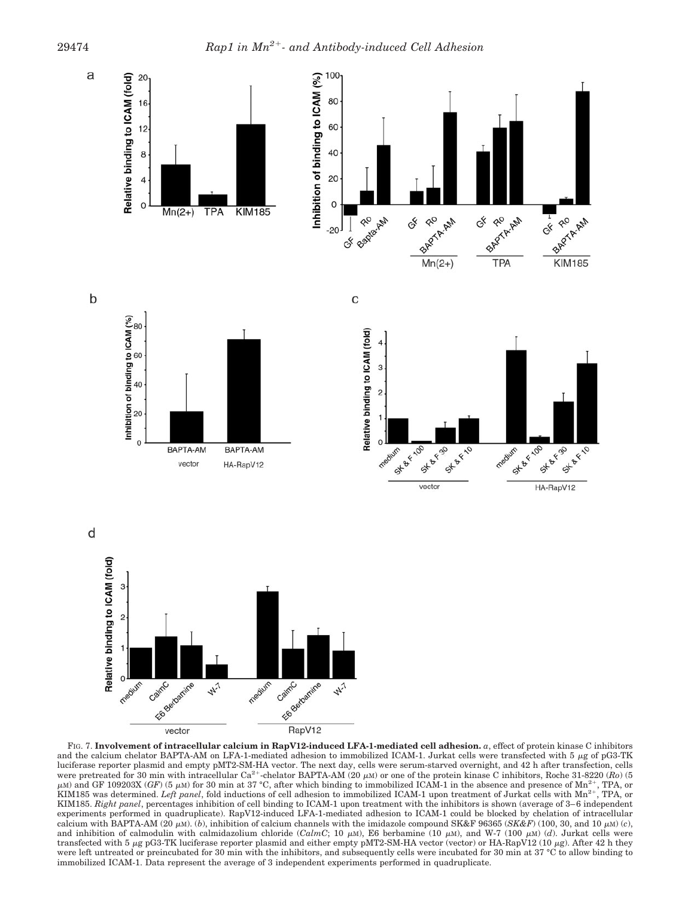

FIG. 7. **Involvement of intracellular calcium in RapV12-induced LFA-1-mediated cell adhesion.** *a*, effect of protein kinase C inhibitors and the calcium chelator BAPTA-AM on LFA-1-mediated adhesion to immobilized ICAM-1. Jurkat cells were transfected with  $5 \mu g$  of pG3-TK luciferase reporter plasmid and empty pMT2-SM-HA vector. The next day, cells were serum-starved overnight, and 42 h after transfection, cells were pretreated for 30 min with intracellular  $Ca^{2+}$ -chelator BAPTA-AM (20  $\mu$ M) or one of the protein kinase C inhibitors, Roche 31-8220 ( $Ro$ ) (5  $\mu$ M) and GF 109203X (*GF*) (5  $\mu$ M) for 30 min at 37 °C, after which binding to immobilized ICAM-1 in the absence and presence of Mn<sup>2+</sup>, TPA, or KIM185 was determined. *Left panel*, fold inductions of cell adhesion to immobilized ICAM-1 upon treatment of Jurkat cells with Mn<sup>2+</sup>, TPA, or KIM185. *Right panel*, percentages inhibition of cell binding to ICAM-1 upon treatment with the inhibitors is shown (average of 3–6 independent experiments performed in quadruplicate). RapV12-induced LFA-1-mediated adhesion to ICAM-1 could be blocked by chelation of intracellular calcium with BAPTA-AM (20  $\mu$ M). (*b*), inhibition of calcium channels with the imidazole compound SK&F 96365 (*SK&F*) (100, 30, and 10  $\mu$ M) (*c*), and inhibition of calmodulin with calmidazolium chloride (*CalmC*; 10  $\mu$ M), E6 berbamine (10  $\mu$ M), and W-7 (100  $\mu$ M) (*d*). Jurkat cells were transfected with 5  $\mu$ g pG3-TK luciferase reporter plasmid and either empty pMT2-SM-HA vector (vector) or HA-RapV12 (10  $\mu$ g). After 42 h they were left untreated or preincubated for 30 min with the inhibitors, and subsequently cells were incubated for 30 min at 37 °C to allow binding to immobilized ICAM-1. Data represent the average of 3 independent experiments performed in quadruplicate.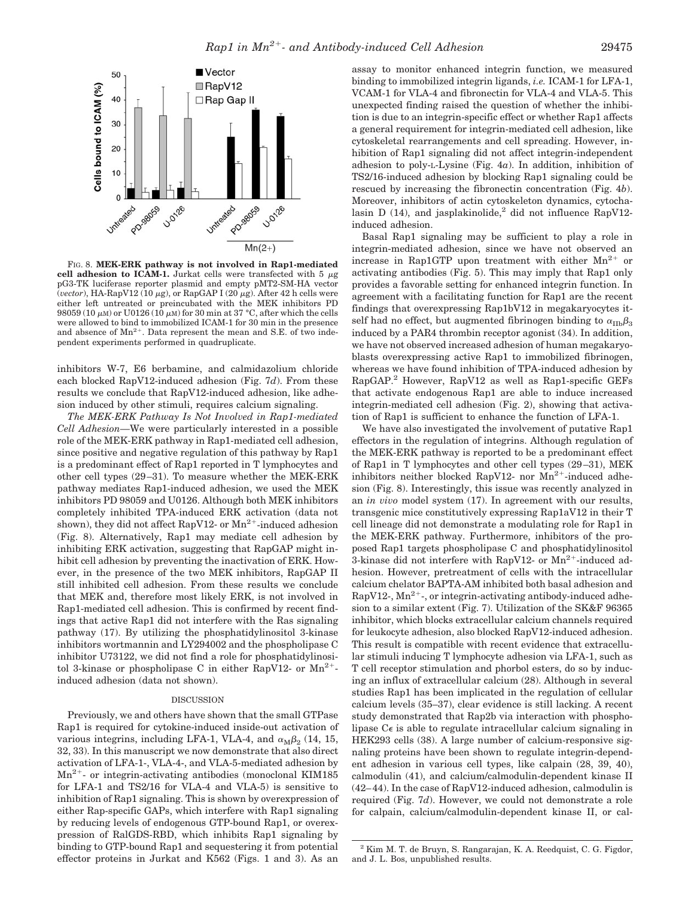

FIG. 8. **MEK-ERK pathway is not involved in Rap1-mediated** cell adhesion to ICAM-1. Jurkat cells were transfected with  $5 \mu g$ pG3-TK luciferase reporter plasmid and empty pMT2-SM-HA vector (*vector*), HA-RapV12 (10  $\mu$ g), or RapGAP I (20  $\mu$ g). After 42 h cells were either left untreated or preincubated with the MEK inhibitors PD 98059 (10  $\mu$ M) or U0126 (10  $\mu$ M) for 30 min at 37 °C, after which the cells were allowed to bind to immobilized ICAM-1 for 30 min in the presence and absence of  $Mn^{2+}$ . Data represent the mean and S.E. of two independent experiments performed in quadruplicate.

inhibitors W-7, E6 berbamine, and calmidazolium chloride each blocked RapV12-induced adhesion (Fig. 7*d*). From these results we conclude that RapV12-induced adhesion, like adhesion induced by other stimuli, requires calcium signaling.

*The MEK-ERK Pathway Is Not Involved in Rap1-mediated Cell Adhesion—*We were particularly interested in a possible role of the MEK-ERK pathway in Rap1-mediated cell adhesion, since positive and negative regulation of this pathway by Rap1 is a predominant effect of Rap1 reported in T lymphocytes and other cell types (29–31). To measure whether the MEK-ERK pathway mediates Rap1-induced adhesion, we used the MEK inhibitors PD 98059 and U0126. Although both MEK inhibitors completely inhibited TPA-induced ERK activation (data not shown), they did not affect RapV12- or  $Mn^{2+}$ -induced adhesion (Fig. 8). Alternatively, Rap1 may mediate cell adhesion by inhibiting ERK activation, suggesting that RapGAP might inhibit cell adhesion by preventing the inactivation of ERK. However, in the presence of the two MEK inhibitors, RapGAP II still inhibited cell adhesion. From these results we conclude that MEK and, therefore most likely ERK, is not involved in Rap1-mediated cell adhesion. This is confirmed by recent findings that active Rap1 did not interfere with the Ras signaling pathway (17). By utilizing the phosphatidylinositol 3-kinase inhibitors wortmannin and LY294002 and the phospholipase C inhibitor U73122, we did not find a role for phosphatidylinositol 3-kinase or phospholipase C in either RapV12- or  $Mn^{2+}$ induced adhesion (data not shown).

## DISCUSSION

Previously, we and others have shown that the small GTPase Rap1 is required for cytokine-induced inside-out activation of various integrins, including LFA-1, VLA-4, and  $\alpha_{\text{M}}\beta_2$  (14, 15, 32, 33). In this manuscript we now demonstrate that also direct activation of LFA-1-, VLA-4-, and VLA-5-mediated adhesion by  $Mn^{2+}$  or integrin-activating antibodies (monoclonal KIM185) for LFA-1 and TS2/16 for VLA-4 and VLA-5) is sensitive to inhibition of Rap1 signaling. This is shown by overexpression of either Rap-specific GAPs, which interfere with Rap1 signaling by reducing levels of endogenous GTP-bound Rap1, or overexpression of RalGDS-RBD, which inhibits Rap1 signaling by binding to GTP-bound Rap1 and sequestering it from potential effector proteins in Jurkat and K562 (Figs. 1 and 3). As an

assay to monitor enhanced integrin function, we measured binding to immobilized integrin ligands, *i.e.* ICAM-1 for LFA-1, VCAM-1 for VLA-4 and fibronectin for VLA-4 and VLA-5. This unexpected finding raised the question of whether the inhibition is due to an integrin-specific effect or whether Rap1 affects a general requirement for integrin-mediated cell adhesion, like cytoskeletal rearrangements and cell spreading. However, inhibition of Rap1 signaling did not affect integrin-independent adhesion to poly-L-Lysine (Fig. 4*a*). In addition, inhibition of TS2/16-induced adhesion by blocking Rap1 signaling could be rescued by increasing the fibronectin concentration (Fig. 4*b*). Moreover, inhibitors of actin cytoskeleton dynamics, cytochalasin D (14), and jasplakinolide,<sup>2</sup> did not influence RapV12induced adhesion.

Basal Rap1 signaling may be sufficient to play a role in integrin-mediated adhesion, since we have not observed an increase in Rap1GTP upon treatment with either  $Mn^{2+}$  or activating antibodies (Fig. 5). This may imply that Rap1 only provides a favorable setting for enhanced integrin function. In agreement with a facilitating function for Rap1 are the recent findings that overexpressing Rap1bV12 in megakaryocytes itself had no effect, but augmented fibrinogen binding to  $\alpha_{\rm IID}\beta_3$ induced by a PAR4 thrombin receptor agonist (34). In addition, we have not observed increased adhesion of human megakaryoblasts overexpressing active Rap1 to immobilized fibrinogen, whereas we have found inhibition of TPA-induced adhesion by RapGAP.2 However, RapV12 as well as Rap1-specific GEFs that activate endogenous Rap1 are able to induce increased integrin-mediated cell adhesion (Fig. 2), showing that activation of Rap1 is sufficient to enhance the function of LFA-1.

We have also investigated the involvement of putative Rap1 effectors in the regulation of integrins. Although regulation of the MEK-ERK pathway is reported to be a predominant effect of Rap1 in T lymphocytes and other cell types (29–31), MEK inhibitors neither blocked RapV12- nor  $Mn^{2+}$ -induced adhesion (Fig. 8). Interestingly, this issue was recently analyzed in an *in vivo* model system (17). In agreement with our results, transgenic mice constitutively expressing Rap1aV12 in their T cell lineage did not demonstrate a modulating role for Rap1 in the MEK-ERK pathway. Furthermore, inhibitors of the proposed Rap1 targets phospholipase C and phosphatidylinositol 3-kinase did not interfere with RapV12- or  $Mn^{2+}$ -induced adhesion. However, pretreatment of cells with the intracellular calcium chelator BAPTA-AM inhibited both basal adhesion and RapV12-,  $Mn^{2+}$ -, or integrin-activating antibody-induced adhesion to a similar extent (Fig. 7). Utilization of the SK&F 96365 inhibitor, which blocks extracellular calcium channels required for leukocyte adhesion, also blocked RapV12-induced adhesion. This result is compatible with recent evidence that extracellular stimuli inducing T lymphocyte adhesion via LFA-1, such as T cell receptor stimulation and phorbol esters, do so by inducing an influx of extracellular calcium (28). Although in several studies Rap1 has been implicated in the regulation of cellular calcium levels (35–37), clear evidence is still lacking. A recent study demonstrated that Rap2b via interaction with phospholipase  $C\epsilon$  is able to regulate intracellular calcium signaling in HEK293 cells (38). A large number of calcium-responsive signaling proteins have been shown to regulate integrin-dependent adhesion in various cell types, like calpain (28, 39, 40), calmodulin (41), and calcium/calmodulin-dependent kinase II (42–44). In the case of RapV12-induced adhesion, calmodulin is required (Fig. 7*d*). However, we could not demonstrate a role for calpain, calcium/calmodulin-dependent kinase II, or cal-

<sup>2</sup> Kim M. T. de Bruyn, S. Rangarajan, K. A. Reedquist, C. G. Figdor, and J. L. Bos, unpublished results.